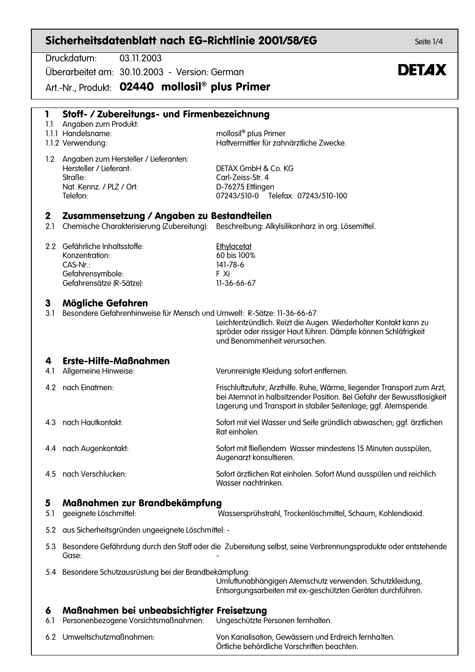| Sicherheitsdatenblatt nach EG-Richtlinie 2001/58/EG<br>Seite 1/4 |                                                                                                                     |                                                                                                                                                                                                                      |              |  |  |
|------------------------------------------------------------------|---------------------------------------------------------------------------------------------------------------------|----------------------------------------------------------------------------------------------------------------------------------------------------------------------------------------------------------------------|--------------|--|--|
|                                                                  | Druckdatum:<br>03.11.2003                                                                                           |                                                                                                                                                                                                                      |              |  |  |
|                                                                  | Überarbeitet am: 30.10.2003 - Version: German                                                                       |                                                                                                                                                                                                                      | <b>DETAX</b> |  |  |
|                                                                  | Art.-Nr., Produkt: 02440 mollosil <sup>®</sup> plus Primer                                                          |                                                                                                                                                                                                                      |              |  |  |
| 1<br>1.1                                                         | Stoff- / Zubereitungs- und Firmenbezeichnung<br>Angaben zum Produkt:<br>1.1.1 Handelsname:<br>1.1.2 Verwendung:     | mollosil <sup>®</sup> plus Primer<br>Haftvermittler für zahnärztliche Zwecke.                                                                                                                                        |              |  |  |
| 1.2                                                              | Angaben zum Hersteller / Lieferanten:<br>Hersteller / Lieferant:<br>Straße:<br>Nat. Kennz. / PLZ / Ort:<br>Telefon: | DETAX GmbH & Co. KG<br>Carl-Zeiss-Str. 4<br>D-76275 Ettlingen<br>07243/510-0 Telefax: 07243/510-100                                                                                                                  |              |  |  |
| $\mathbf{2}$<br>2.1                                              | Zusammensetzung / Angaben zu Bestandteilen                                                                          | Chemische Charakterisierung (Zubereitung): Beschreibung: Alkylsilikonharz in org. Lösemittel.                                                                                                                        |              |  |  |
|                                                                  | 2.2 Gefährliche Inhaltsstoffe:<br>Konzentration:<br>CAS-Nr.:<br>Gefahrensymbole:<br>Gefahrensätze (R-Sätze):        | Ethylacetat<br>60 bis 100%<br>141-78-6<br>F Xi<br>11-36-66-67                                                                                                                                                        |              |  |  |
| 3<br>3.1                                                         | Mögliche Gefahren<br>Besondere Gefahrenhinweise für Mensch und Umwelt: R-Sätze: 11-36-66-67                         | Leichtentzündlich. Reizt die Augen. Wiederholter Kontakt kann zu<br>spröder oder rissiger Haut führen. Dämpfe können Schläfrigkeit<br>und Benommenheit verursachen.                                                  |              |  |  |
| 4<br>4.1                                                         | <b>Erste-Hilfe-Maßnahmen</b><br>Allgemeine Hinweise:                                                                | Verunreinigte Kleidung sofort entfernen.                                                                                                                                                                             |              |  |  |
|                                                                  | 4.2 nach Einatmen:                                                                                                  | Frischluftzufuhr, Arzthilfe. Ruhe, Wärme, liegender Transport zum Arzt,<br>bei Atemnot in halbsitzender Position. Bei Gefahr der Bewusstlosigkeit<br>Lagerung und Transport in stabiler Seitenlage; ggf. Atemspende. |              |  |  |
| 4.3                                                              | nach Hautkontakt:                                                                                                   | Sofort mit viel Wasser und Seife gründlich abwaschen; ggf. ärztlichen<br>Rat einholen.                                                                                                                               |              |  |  |
| 4.4                                                              | nach Augenkontakt:                                                                                                  | Sofort mit fließendem Wasser mindestens 15 Minuten ausspülen,<br>Augenarzt konsultieren.                                                                                                                             |              |  |  |
| 4.5                                                              | nach Verschlucken:                                                                                                  | Sofort ärztlichen Rat einholen. Sofort Mund ausspülen und reichlich<br>Wasser nachtrinken                                                                                                                            |              |  |  |
| 5<br>5.1                                                         | Maßnahmen zur Brandbekämpfung<br>geeignete Löschmittel:                                                             | Wassersprühstrahl, Trockenlöschmittel, Schaum, Kohlendioxid.                                                                                                                                                         |              |  |  |
| 5.2                                                              | aus Sicherheitsgründen ungeeignete Löschmittel: -                                                                   |                                                                                                                                                                                                                      |              |  |  |
| 5.3                                                              | Gase:                                                                                                               | Besondere Gefährdung durch den Stoff oder die Zubereitung selbst, seine Verbrennungsprodukte oder entstehende                                                                                                        |              |  |  |

5.4 Besondere Schutzausrüstung bei der Brandbekämpfung:

Umluftunabhängigen Atemschutz verwenden. Schutzkleidung, Entsorgungsarbeiten mit ex-geschützten Geräten durchführen.

## Maßnahmen bei unbeabsichtigter Freisetzung 6

- 6.1 Personenbezogene Vorsichtsmaßnahmen: Ungeschützte Personen fernhalten.
- 6.2 Umweltschutzmaßnahmen:

Von Kanalisation, Gewässern und Erdreich fernhalten.

Örtliche behördliche Vorschriften beachten.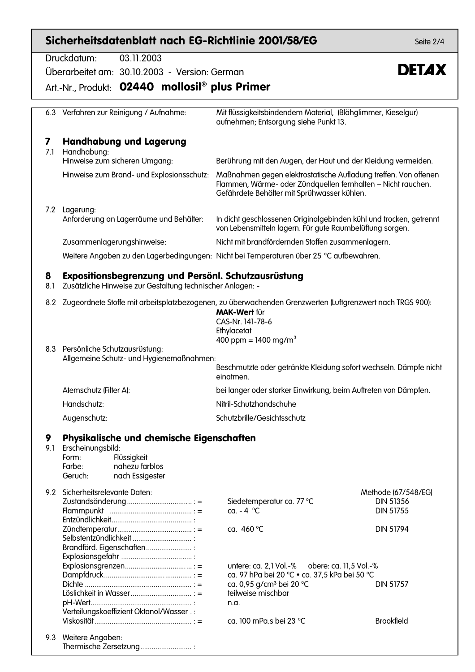|          | Sicherheitsdatenblatt nach EG-Richtlinie 2001/58/EG                                                                                                                               |                                                                                                                                                                                                                                                 | Seite 2/4                                                                       |  |  |
|----------|-----------------------------------------------------------------------------------------------------------------------------------------------------------------------------------|-------------------------------------------------------------------------------------------------------------------------------------------------------------------------------------------------------------------------------------------------|---------------------------------------------------------------------------------|--|--|
|          | Druckdatum:<br>03.11.2003<br>Überarbeitet am: 30.10.2003 - Version: German<br>Art.-Nr., Produkt: 02440 mollosil <sup>®</sup> plus Primer                                          |                                                                                                                                                                                                                                                 | <b>DETAX</b>                                                                    |  |  |
|          | 6.3 Verfahren zur Reinigung / Aufnahme:                                                                                                                                           | Mit flüssigkeitsbindendem Material, (Blähglimmer, Kieselgur)<br>aufnehmen; Entsorgung siehe Punkt 13.                                                                                                                                           |                                                                                 |  |  |
| 7<br>7.1 | <b>Handhabung und Lagerung</b><br>Handhabung:<br>Hinweise zum sicheren Umgang:<br>Hinweise zum Brand- und Explosionsschutz:                                                       | Berührung mit den Augen, der Haut und der Kleidung vermeiden.<br>Maßnahmen gegen elektrostatische Aufladung treffen. Von offenen<br>Flammen, Wärme- oder Zündquellen fernhalten - Nicht rauchen.<br>Gefährdete Behälter mit Sprühwasser kühlen. |                                                                                 |  |  |
|          | 7.2 Lagerung:<br>Anforderung an Lagerräume und Behälter:<br>Zusammenlagerungshinweise:<br>Weitere Angaben zu den Lagerbedingungen: Nicht bei Temperaturen über 25 °C aufbewahren. | In dicht geschlossenen Originalgebinden kühl und trocken, getrennt<br>von Lebensmitteln lagern. Für gute Raumbelüftung sorgen.<br>Nicht mit brandfördernden Stoffen zusammenlagern.                                                             |                                                                                 |  |  |
| 8<br>8.1 | Expositionsbegrenzung und Persönl. Schutzausrüstung<br>Zusätzliche Hinweise zur Gestaltung technischer Anlagen: -                                                                 |                                                                                                                                                                                                                                                 |                                                                                 |  |  |
| 8.2      | Zugeordnete Stoffe mit arbeitsplatzbezogenen, zu überwachenden Grenzwerten (Luftgrenzwert nach TRGS 900):                                                                         | <b>MAK-Wert für</b><br>CAS-Nr. 141-78-6<br>Ethylacetat                                                                                                                                                                                          |                                                                                 |  |  |
|          | 8.3 Persönliche Schutzausrüstung:<br>Allgemeine Schutz- und Hygienemaßnahmen:                                                                                                     | 400 ppm = $1400$ mg/m <sup>3</sup><br>Beschmutzte oder getränkte Kleidung sofort wechseln. Dämpfe nicht<br>einatmen.                                                                                                                            |                                                                                 |  |  |
|          | Atemschutz (Filter A):<br>Handschutz:                                                                                                                                             | bei langer oder starker Einwirkung, beim Auftreten von Dämpfen.<br>Nitril-Schutzhandschuhe                                                                                                                                                      |                                                                                 |  |  |
|          | Augenschutz:                                                                                                                                                                      | Schutzbrille/Gesichtsschutz                                                                                                                                                                                                                     |                                                                                 |  |  |
| 9<br>9.1 | Physikalische und chemische Eigenschaften<br>Erscheinungsbild:<br>Flüssigkeit<br>Form:<br>nahezu farblos<br>Farbe:<br>Geruch:<br>nach Essigester                                  |                                                                                                                                                                                                                                                 |                                                                                 |  |  |
|          | 9.2 Sicherheitsrelevante Daten:<br>Selbstentzündlichkeit<br>Brandförd. Eigenschaften                                                                                              | Siedetemperatur ca. 77 °C<br>ca. $-4$ °C<br>ca. 460 °C                                                                                                                                                                                          | Methode (67/548/EG)<br><b>DIN 51356</b><br><b>DIN 51755</b><br><b>DIN 51794</b> |  |  |
|          | Verteilungskoeffizient Oktanol/Wasser.:                                                                                                                                           | untere: ca. 2,1 Vol.-% obere: ca. 11,5 Vol.-%<br>ca. 97 hPa bei 20 °C • ca. 37,5 kPa bei 50 °C<br>ca. 0,95 g/cm <sup>3</sup> bei 20 °C<br>teilweise mischbar<br>n.a.<br>ca. 100 mPa.s bei 23 °C                                                 | <b>DIN 51757</b><br><b>Brookfield</b>                                           |  |  |
|          | 9.3 Weitere Angaben:<br>Thermische Zersetzung                                                                                                                                     |                                                                                                                                                                                                                                                 |                                                                                 |  |  |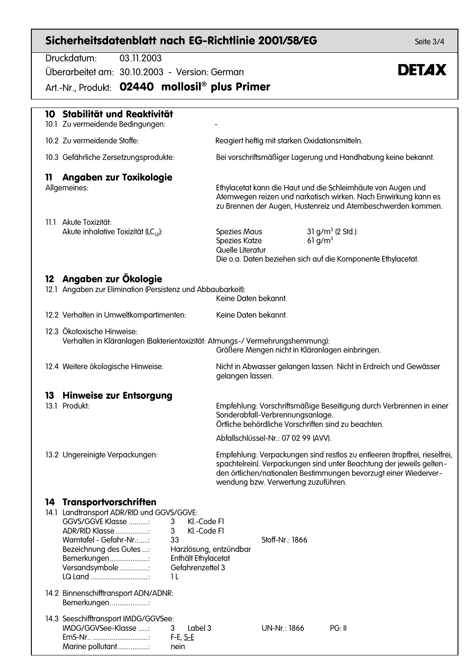## Sicherheitsdatenblatt nach EG-Richtlinie 2001/58/EG

Druckdatum:  $03112003$ Überarbeitet am: 30.10.2003 - Version: German Art.-Nr., Produkt: 02440 mollosil® plus Primer 10 Stabilität und Reaktivität 10.1 Zu vermeidende Bedingungen: 10.2 Zu vermeidende Stoffe: Reagiert heftig mit starken Oxidationsmitteln. 10.3 Gefährliche Zersetzungsprodukte: Bei vorschriftsmäßiger Lagerung und Handhabung keine bekannt. 11 Angaben zur Toxikologie Allgemeines: Ethylacetat kann die Haut und die Schleimhäute von Augen und Atemwegen reizen und narkotisch wirken. Nach Einwirkung kann es zu Brennen der Augen, Hustenreiz und Atembeschwerden kommen. 11.1 Akute Toxizität: Akute inhalative Toxizität (LC<sub>10</sub>):  $31 g/m<sup>3</sup>$  (2 Std.) **Spezies Maus** Spezies Katze  $61$   $\alpha/m^3$ Quelle Literatur Die o.a. Daten beziehen sich auf die Komponente Ethylacetat. 12 Angaben zur Ökologie 12.1 Angaben zur Elimination (Persistenz und Abbaubarkeit): Keine Daten bekannt. Keine Daten bekannt. 12.2 Verhalten in Umweltkompartimenten: 12.3 Ökotoxische Hinweise: Verhalten in Kläranlagen (Bakterientoxizität: Atmunas-/ Vermehrungshemmung): Größere Mengen nicht in Kläranlagen einbringen. Nicht in Abwasser gelangen lassen. Nicht in Erdreich und Gewässer 12.4 Weitere ökologische Hinweise: gelangen lassen. 13 Hinweise zur Entsorgung 13.1 Produkt Empfehlung: Vorschriftsmäßige Beseitigung durch Verbrennen in einer Sonderabfall-Verbrennungsanlage. Örtliche behördliche Vorschriften sind zu beachten. Abfallschlüssel-Nr.: 07 02 99 (AVV). 13.2 Ungereinigte Verpackungen: Empfehlung: Verpackungen sind restlos zu entleeren (tropffrei, rieselfrei, spachtelrein). Verpackungen sind unter Beachtung der jeweils geltenden örtlichen/nationalen Bestimmungen bevorzugt einer Wiederverwendung bzw. Verwertung zuzuführen. 14 Transportvorschriften 14.1 Landtransport ADR/RID und GGVS/GGVE: **GGVS/GGVE Klasse ...........** Kl.-Code Fl  $3<sup>1</sup>$ ADR/RID Klasse ..................  $\mathbf{3}$ Kl.-Code Fl Warntafel - Gefahr-Nr.:..... 33 Stoff-Nr.: 1866 Bezeichnung des Gutes ...: Harzlösuna, entzündbar Enthält Ethylacetat Bemerkungen..................... Versandsymbole................ Gefahrenzettel 3

14.2 Binnenschifftransport ADN/ADNR: Bemerkungen.....................

LQ Land .................................

14.3 Seeschifftransport IMDG/GGVSee: IMDG/GGVSee-Klasse  $\mathcal{R}$  $IndA$ EmS-Nr.. ................................  $F-E, S-E$ Marine pollutant................. nein

 $11$ 

 $UN-Nr: 1866$ 

 $PG: II$ 

Seite  $3/4$ 

## **DETAX**